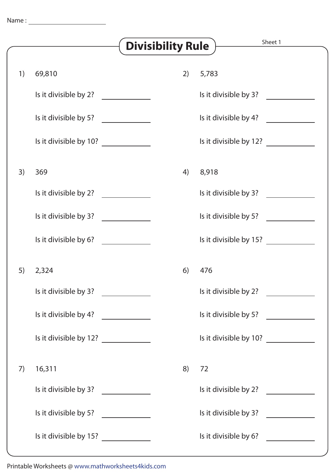|    |                                                                                                                                                                                                                                                                                                                                                                                                               | <b>Divisibility Rule</b>                                  | Sheet 1                                                  |
|----|---------------------------------------------------------------------------------------------------------------------------------------------------------------------------------------------------------------------------------------------------------------------------------------------------------------------------------------------------------------------------------------------------------------|-----------------------------------------------------------|----------------------------------------------------------|
| 1) | 69,810                                                                                                                                                                                                                                                                                                                                                                                                        | 2)                                                        | 5,783                                                    |
|    | Is it divisible by 2? $\frac{1}{2}$ [13]                                                                                                                                                                                                                                                                                                                                                                      |                                                           | Is it divisible by 3?<br><u>a sa salawan</u>             |
|    | Is it divisible by 5?                                                                                                                                                                                                                                                                                                                                                                                         |                                                           | Is it divisible by 4?                                    |
|    | Is it divisible by 10? $\frac{1}{\sqrt{1-\frac{1}{\sqrt{1-\frac{1}{\sqrt{1-\frac{1}{\sqrt{1-\frac{1}{\sqrt{1-\frac{1}{\sqrt{1-\frac{1}{\sqrt{1-\frac{1}{\sqrt{1-\frac{1}{\sqrt{1-\frac{1}{\sqrt{1-\frac{1}{\sqrt{1-\frac{1}{\sqrt{1-\frac{1}{\sqrt{1-\frac{1}{\sqrt{1-\frac{1}{\sqrt{1-\frac{1}{\sqrt{1-\frac{1}{\sqrt{1-\frac{1}{\sqrt{1-\frac{1}{\sqrt{1-\frac{1}{\sqrt{1-\frac{1}{\sqrt{1-\frac{1}{\sqrt{$ |                                                           | Is it divisible by 12? $\frac{1}{\sqrt{1-\frac{1}{2}}}\$ |
| 3) | 369                                                                                                                                                                                                                                                                                                                                                                                                           | 4)                                                        | 8,918                                                    |
|    |                                                                                                                                                                                                                                                                                                                                                                                                               |                                                           | Is it divisible by 3?                                    |
|    | Is it divisible by 3?                                                                                                                                                                                                                                                                                                                                                                                         |                                                           | Is it divisible by 5?                                    |
|    | Is it divisible by 6?                                                                                                                                                                                                                                                                                                                                                                                         |                                                           |                                                          |
| 5) | 2,324                                                                                                                                                                                                                                                                                                                                                                                                         | 6)                                                        | 476                                                      |
|    | Is it divisible by 3?                                                                                                                                                                                                                                                                                                                                                                                         | $\mathcal{L}_{\text{max}}$ and $\mathcal{L}_{\text{max}}$ | Is it divisible by 2?                                    |
|    | Is it divisible by 4?                                                                                                                                                                                                                                                                                                                                                                                         |                                                           | Is it divisible by 5?                                    |
|    | Is it divisible by 12?                                                                                                                                                                                                                                                                                                                                                                                        |                                                           | Is it divisible by 10?                                   |
| 7) | 16,311                                                                                                                                                                                                                                                                                                                                                                                                        | 8)                                                        | 72                                                       |
|    | Is it divisible by 3?                                                                                                                                                                                                                                                                                                                                                                                         |                                                           | Is it divisible by 2?                                    |
|    | Is it divisible by 5?                                                                                                                                                                                                                                                                                                                                                                                         |                                                           | Is it divisible by 3?                                    |
|    | Is it divisible by 15? $\frac{1}{2}$                                                                                                                                                                                                                                                                                                                                                                          |                                                           | Is it divisible by 6?                                    |

Printable Worksheets @ www.mathworksheets4kids.com